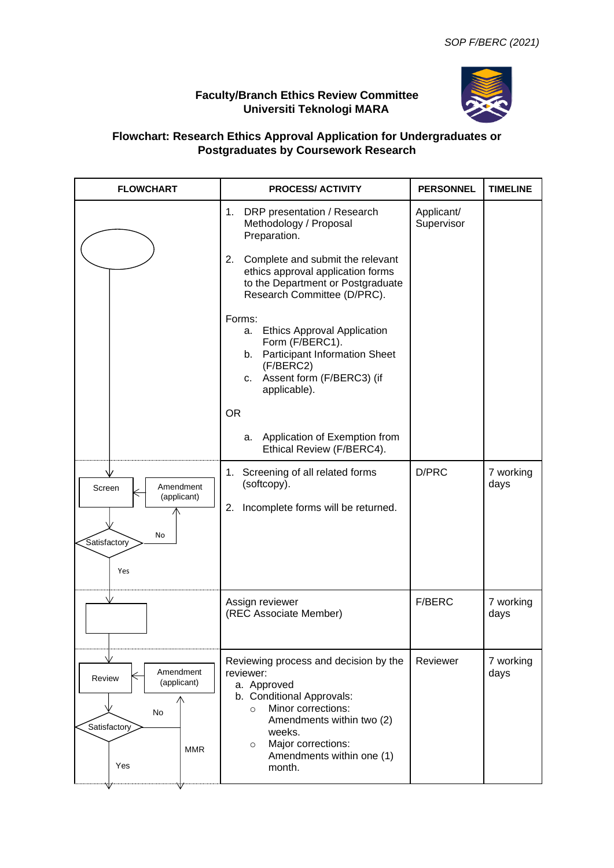## **Faculty/Branch Ethics Review Committee Universiti Teknologi MARA**



## **Flowchart: Research Ethics Approval Application for Undergraduates or Postgraduates by Coursework Research**

| <b>FLOWCHART</b>                                                                     | <b>PROCESS/ ACTIVITY</b>                                                                                                                                                                                                                                                                                                                                                                                           | <b>PERSONNEL</b>         | <b>TIMELINE</b>   |
|--------------------------------------------------------------------------------------|--------------------------------------------------------------------------------------------------------------------------------------------------------------------------------------------------------------------------------------------------------------------------------------------------------------------------------------------------------------------------------------------------------------------|--------------------------|-------------------|
|                                                                                      | 1. DRP presentation / Research<br>Methodology / Proposal<br>Preparation.<br>Complete and submit the relevant<br>2.<br>ethics approval application forms<br>to the Department or Postgraduate<br>Research Committee (D/PRC).<br>Forms:<br><b>Ethics Approval Application</b><br>a.<br>Form (F/BERC1).<br>b. Participant Information Sheet<br>(F/BERC2)<br>c. Assent form (F/BERC3) (if<br>applicable).<br><b>OR</b> | Applicant/<br>Supervisor |                   |
|                                                                                      | Application of Exemption from<br>а.<br>Ethical Review (F/BERC4).                                                                                                                                                                                                                                                                                                                                                   |                          |                   |
| Amendment<br>Screen<br>(applicant)<br>No<br>Satisfactory<br>Yes                      | 1. Screening of all related forms<br>(softcopy).<br>2. Incomplete forms will be returned.                                                                                                                                                                                                                                                                                                                          | D/PRC                    | 7 working<br>days |
|                                                                                      | Assign reviewer<br>(REC Associate Member)                                                                                                                                                                                                                                                                                                                                                                          | F/BERC                   | 7 working<br>days |
| Amendment<br>Review<br>(applicant)<br><b>No</b><br>Satisfactory<br><b>MMR</b><br>Yes | Reviewing process and decision by the<br>reviewer:<br>a. Approved<br>b. Conditional Approvals:<br>Minor corrections:<br>$\circ$<br>Amendments within two (2)<br>weeks.<br>Major corrections:<br>$\circ$<br>Amendments within one (1)<br>month.                                                                                                                                                                     | Reviewer                 | 7 working<br>days |